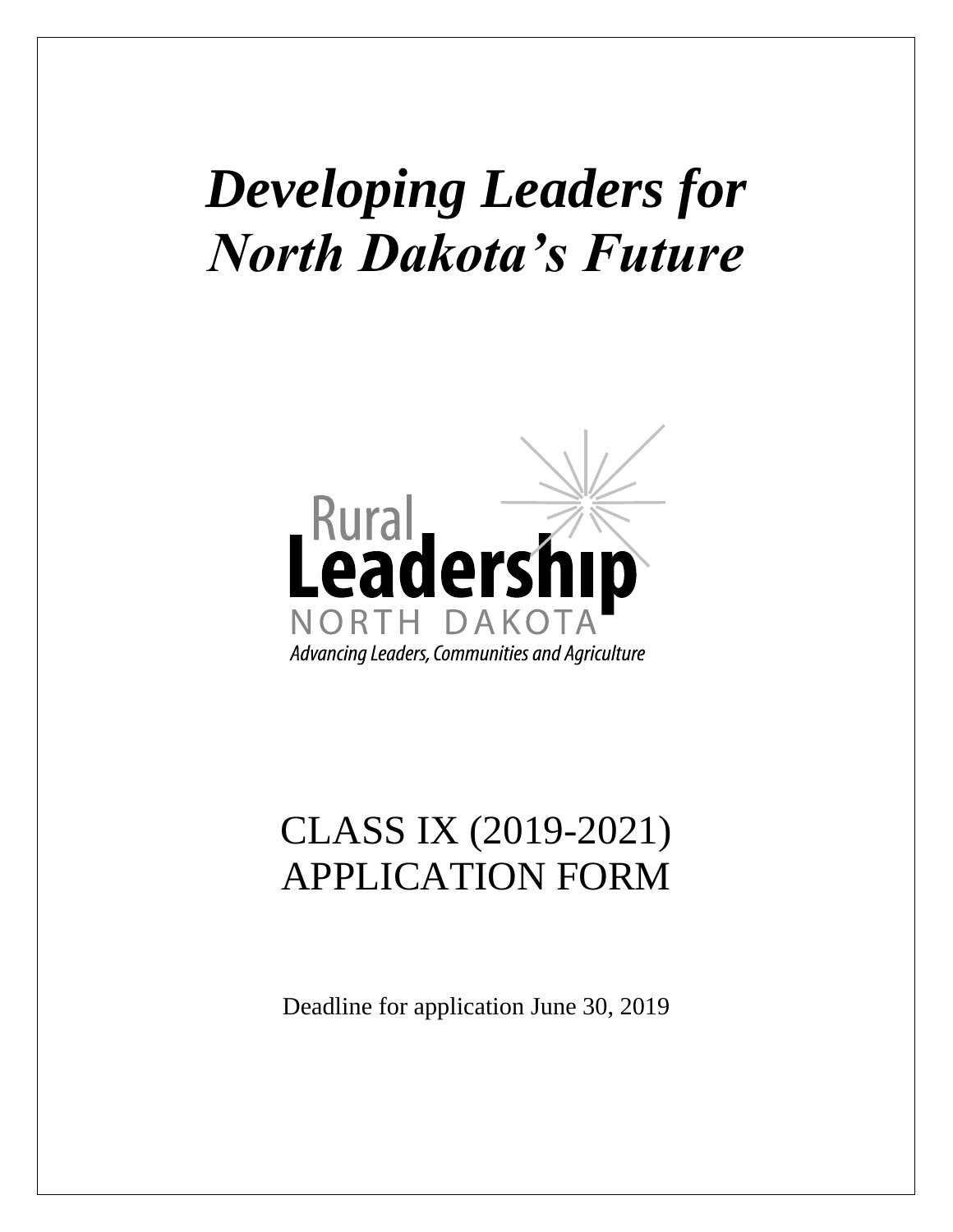# *Developing Leaders for North Dakota's Future*



# CLASS IX (2019-2021) APPLICATION FORM

Deadline for application June 30, 2019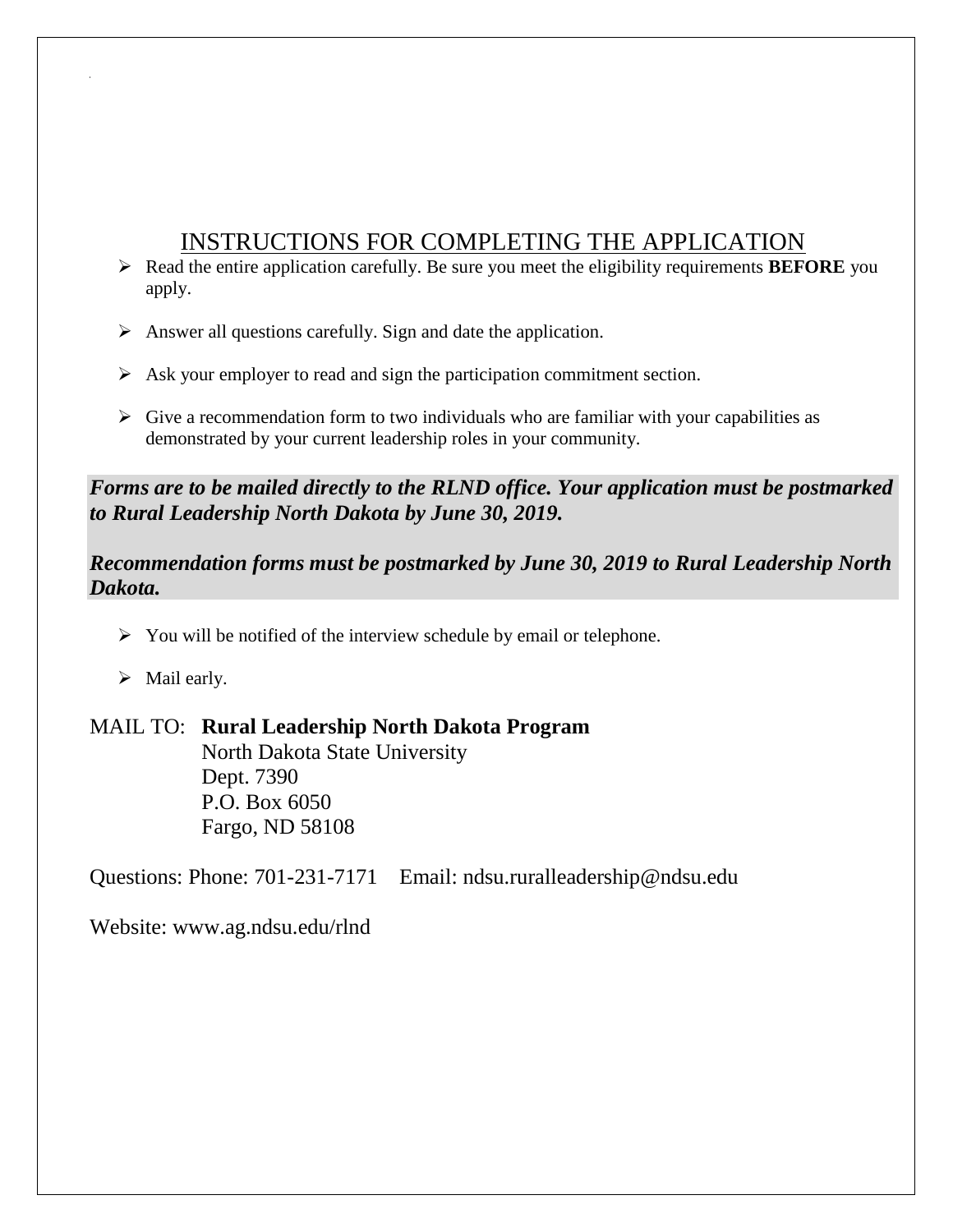# INSTRUCTIONS FOR COMPLETING THE APPLICATION

- Read the entire application carefully. Be sure you meet the eligibility requirements **BEFORE** you apply.
- $\triangleright$  Answer all questions carefully. Sign and date the application.
- $\triangleright$  Ask your employer to read and sign the participation commitment section.
- $\triangleright$  Give a recommendation form to two individuals who are familiar with your capabilities as demonstrated by your current leadership roles in your community.

# *Forms are to be mailed directly to the RLND office. Your application must be postmarked to Rural Leadership North Dakota by June 30, 2019.*

# *Recommendation forms must be postmarked by June 30, 2019 to Rural Leadership North Dakota.*

- $\triangleright$  You will be notified of the interview schedule by email or telephone.
- $\triangleright$  Mail early.

# MAIL TO: **Rural Leadership North Dakota Program**

North Dakota State University Dept. 7390 P.O. Box 6050 Fargo, ND 58108

Questions: Phone: 701-231-7171 Email: ndsu.ruralleadership@ndsu.edu

Website: www.ag.ndsu.edu/rlnd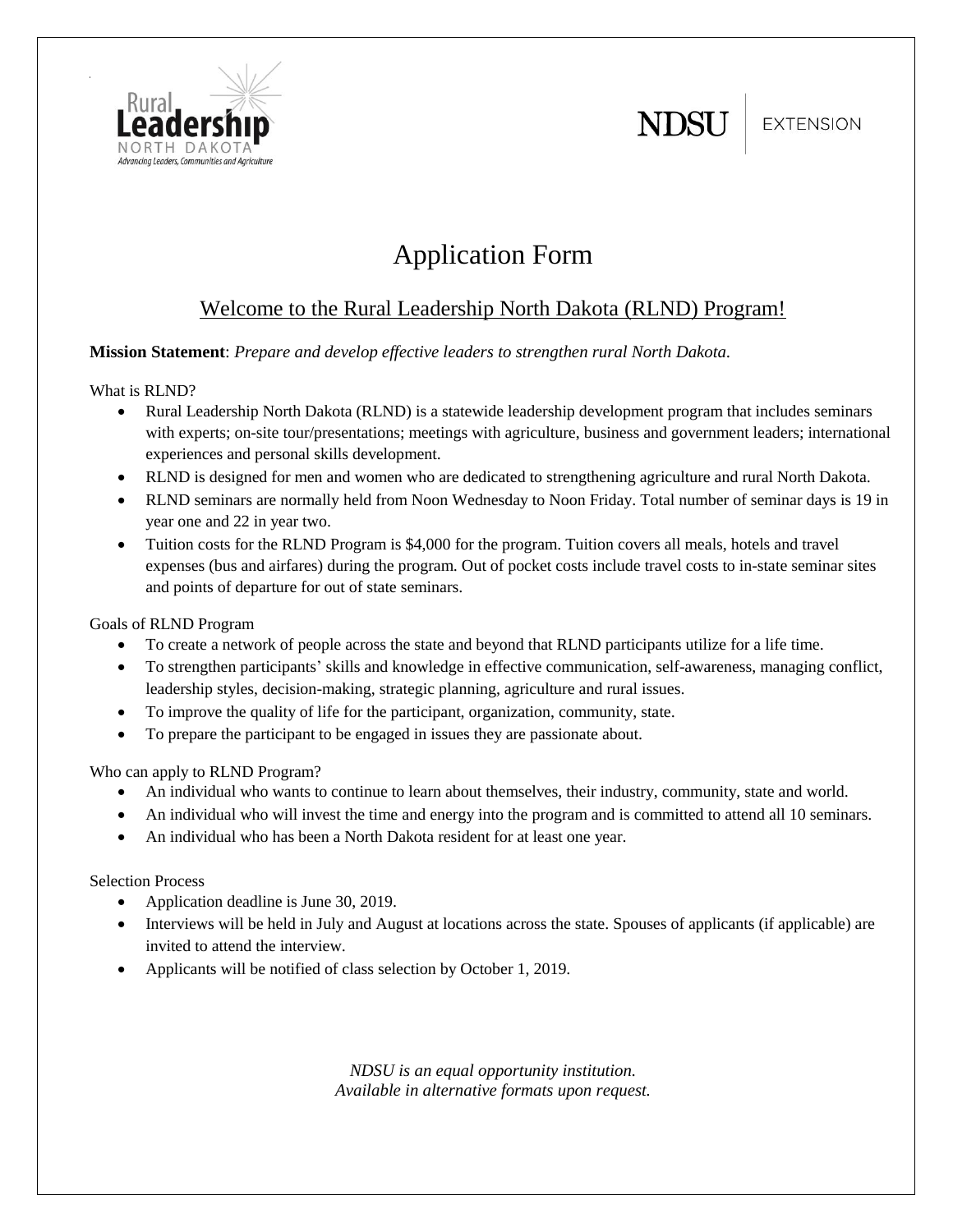

**EXTENSION** 



# Application Form

# Welcome to the Rural Leadership North Dakota (RLND) Program!

#### **Mission Statement**: *Prepare and develop effective leaders to strengthen rural North Dakota.*

What is RLND?

- Rural Leadership North Dakota (RLND) is a statewide leadership development program that includes seminars with experts; on-site tour/presentations; meetings with agriculture, business and government leaders; international experiences and personal skills development.
- RLND is designed for men and women who are dedicated to strengthening agriculture and rural North Dakota.
- RLND seminars are normally held from Noon Wednesday to Noon Friday. Total number of seminar days is 19 in year one and 22 in year two.
- Tuition costs for the RLND Program is \$4,000 for the program. Tuition covers all meals, hotels and travel expenses (bus and airfares) during the program. Out of pocket costs include travel costs to in-state seminar sites and points of departure for out of state seminars.

Goals of RLND Program

- To create a network of people across the state and beyond that RLND participants utilize for a life time.
- To strengthen participants' skills and knowledge in effective communication, self-awareness, managing conflict, leadership styles, decision-making, strategic planning, agriculture and rural issues.
- To improve the quality of life for the participant, organization, community, state.
- To prepare the participant to be engaged in issues they are passionate about.

Who can apply to RLND Program?

- An individual who wants to continue to learn about themselves, their industry, community, state and world.
- An individual who will invest the time and energy into the program and is committed to attend all 10 seminars.
- An individual who has been a North Dakota resident for at least one year.

Selection Process

- Application deadline is June 30, 2019.
- Interviews will be held in July and August at locations across the state. Spouses of applicants (if applicable) are invited to attend the interview.
- Applicants will be notified of class selection by October 1, 2019.

*NDSU is an equal opportunity institution. Available in alternative formats upon request.*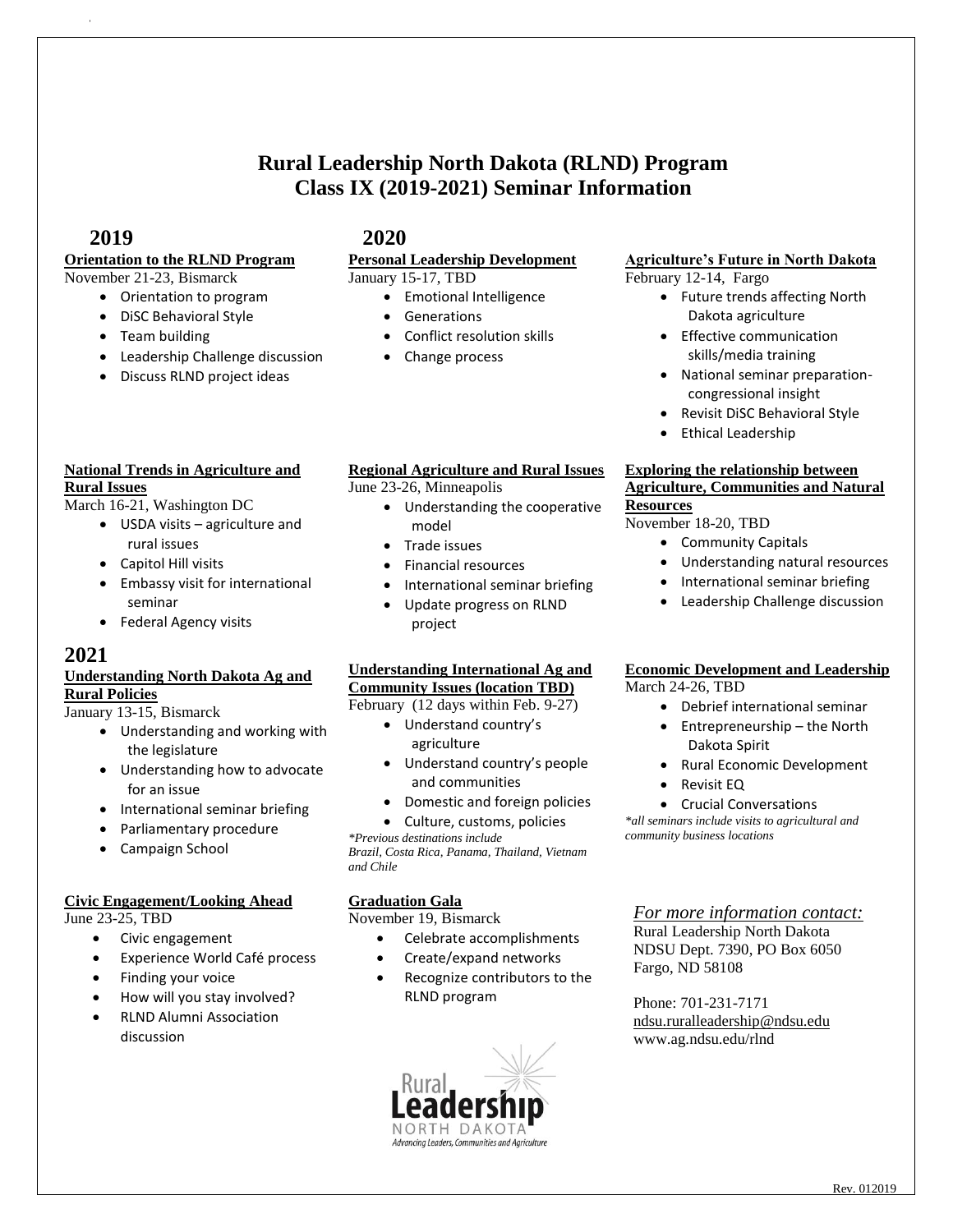# **Rural Leadership North Dakota (RLND) Program Class IX (2019-2021) Seminar Information**

#### **2019 2020**

# **Orientation to the RLND Program**

#### November 21-23, Bismarck

- Orientation to program DiSC Behavioral Style
- Team building
- Leadership Challenge discussion
- Discuss RLND project ideas

#### **National Trends in Agriculture and Rural Issues**

March 16-21, Washington DC

- USDA visits agriculture and rural issues
- Capitol Hill visits
- Embassy visit for international seminar
- Federal Agency visits

#### **2021**

#### **Understanding North Dakota Ag and Rural Policies**

January 13-15, Bismarck

- Understanding and working with the legislature
- Understanding how to advocate for an issue
- International seminar briefing
- Parliamentary procedure
- Campaign School

#### **Civic Engagement/Looking Ahead**

June 23-25, TBD

- Civic engagement
- Experience World Café process
- Finding your voice
- How will you stay involved?
- RLND Alumni Association discussion

#### **Personal Leadership Development**

January 15-17, TBD

- Emotional Intelligence
	- Generations
- Conflict resolution skills
- Change process

#### **Regional Agriculture and Rural Issues**

June 23-26, Minneapolis

- Understanding the cooperative model
- Trade issues
- Financial resources
- International seminar briefing
- Update progress on RLND project

#### **Understanding International Ag and Community Issues (location TBD)**

February (12 days within Feb. 9-27)

- Understand country's agriculture
- Understand country's people and communities
- Domestic and foreign policies
- Culture, customs, policies

*\*Previous destinations include Brazil, Costa Rica, Panama, Thailand, Vietnam and Chile*

#### **Graduation Gala**

November 19, Bismarck

- Celebrate accomplishments
- Create/expand networks
- Recognize contributors to the RLND program



#### **Agriculture's Future in North Dakota** February 12-14, Fargo

- Future trends affecting North Dakota agriculture
- Effective communication skills/media training
- National seminar preparationcongressional insight
- Revisit DiSC Behavioral Style
- **•** Ethical Leadership

#### **Exploring the relationship between Agriculture, Communities and Natural Resources**

November 18-20, TBD

- Community Capitals
- Understanding natural resources
	- International seminar briefing
	- Leadership Challenge discussion

### **Economic Development and Leadership**

March 24-26, TBD

- Debrief international seminar
- Entrepreneurship the North Dakota Spirit
- Rural Economic Development
- Revisit EQ
- Crucial Conversations

*\*all seminars include visits to agricultural and community business locations*

#### *For more information contact:*

Rural Leadership North Dakota NDSU Dept. 7390, PO Box 6050 Fargo, ND 58108

Phone: 701-231-7171 [ndsu.ruralleadership@ndsu.edu](mailto:ndsu.ruralleadership@ndsu.edu)  www.ag.ndsu.edu/rlnd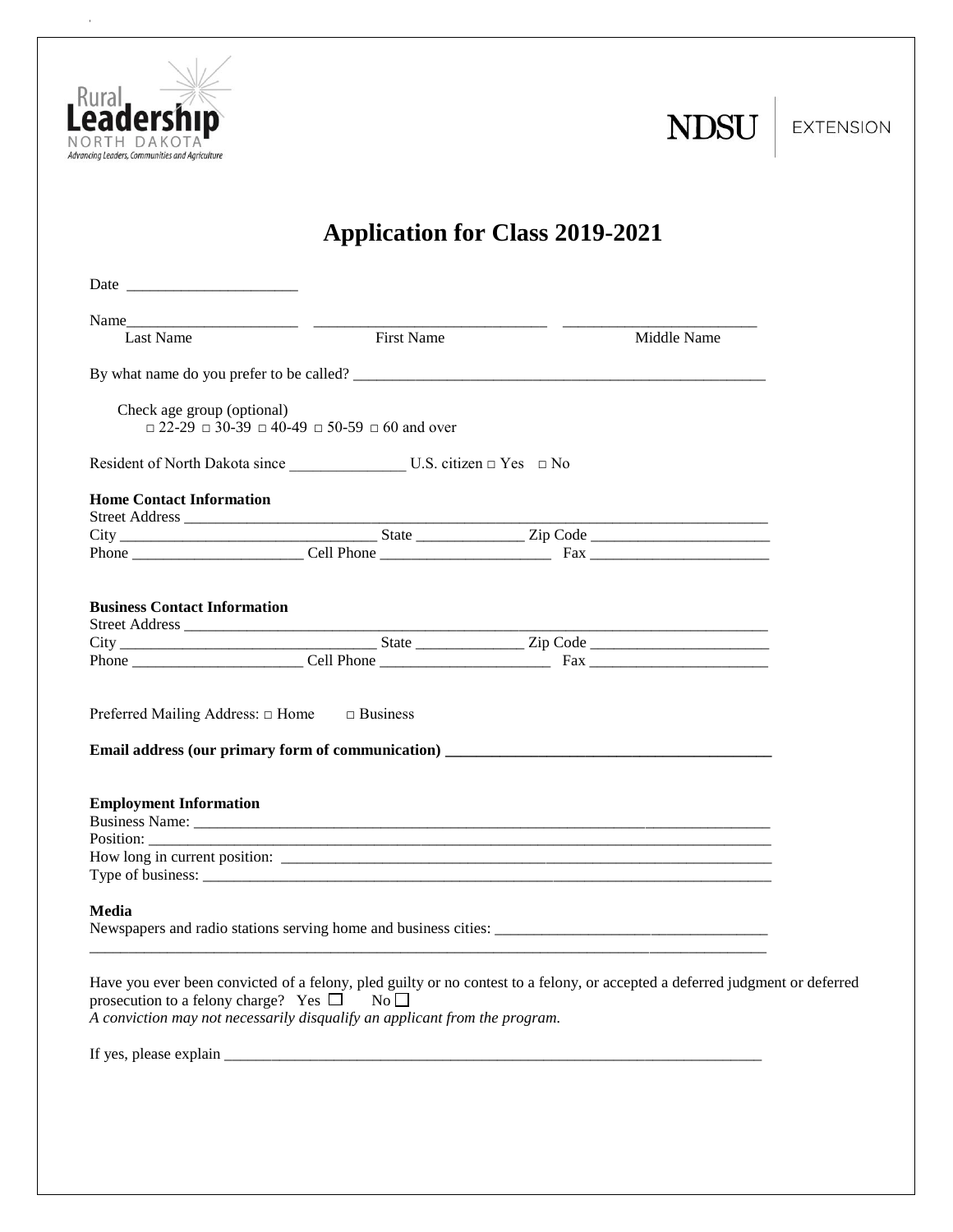

 $\bar{\bar{z}}$ 

| N |  |
|---|--|
|   |  |

**EXTENSION** 

# **Application for Class 2019-2021**

| Last Name                                                                                                                                                                                                                                                                | <b>First Name</b>                                                      | Middle Name |  |
|--------------------------------------------------------------------------------------------------------------------------------------------------------------------------------------------------------------------------------------------------------------------------|------------------------------------------------------------------------|-------------|--|
|                                                                                                                                                                                                                                                                          |                                                                        |             |  |
| Check age group (optional)                                                                                                                                                                                                                                               | $\Box$ 22-29 $\Box$ 30-39 $\Box$ 40-49 $\Box$ 50-59 $\Box$ 60 and over |             |  |
|                                                                                                                                                                                                                                                                          |                                                                        |             |  |
| <b>Home Contact Information</b>                                                                                                                                                                                                                                          |                                                                        |             |  |
|                                                                                                                                                                                                                                                                          |                                                                        |             |  |
|                                                                                                                                                                                                                                                                          |                                                                        |             |  |
|                                                                                                                                                                                                                                                                          |                                                                        |             |  |
| <b>Business Contact Information</b>                                                                                                                                                                                                                                      |                                                                        |             |  |
|                                                                                                                                                                                                                                                                          |                                                                        |             |  |
|                                                                                                                                                                                                                                                                          |                                                                        |             |  |
|                                                                                                                                                                                                                                                                          |                                                                        |             |  |
| Preferred Mailing Address: $\Box$ Home $\Box$ Business                                                                                                                                                                                                                   |                                                                        |             |  |
| <b>Employment Information</b>                                                                                                                                                                                                                                            |                                                                        |             |  |
|                                                                                                                                                                                                                                                                          |                                                                        |             |  |
| Media                                                                                                                                                                                                                                                                    |                                                                        |             |  |
| Have you ever been convicted of a felony, pled guilty or no contest to a felony, or accepted a deferred judgment or deferred<br>prosecution to a felony charge? Yes $\square$ No $\square$<br>A conviction may not necessarily disqualify an applicant from the program. |                                                                        |             |  |
| If yes, please explain $\frac{1}{\frac{1}{2} \sum_{i=1}^{n} a_i}$                                                                                                                                                                                                        |                                                                        |             |  |
|                                                                                                                                                                                                                                                                          |                                                                        |             |  |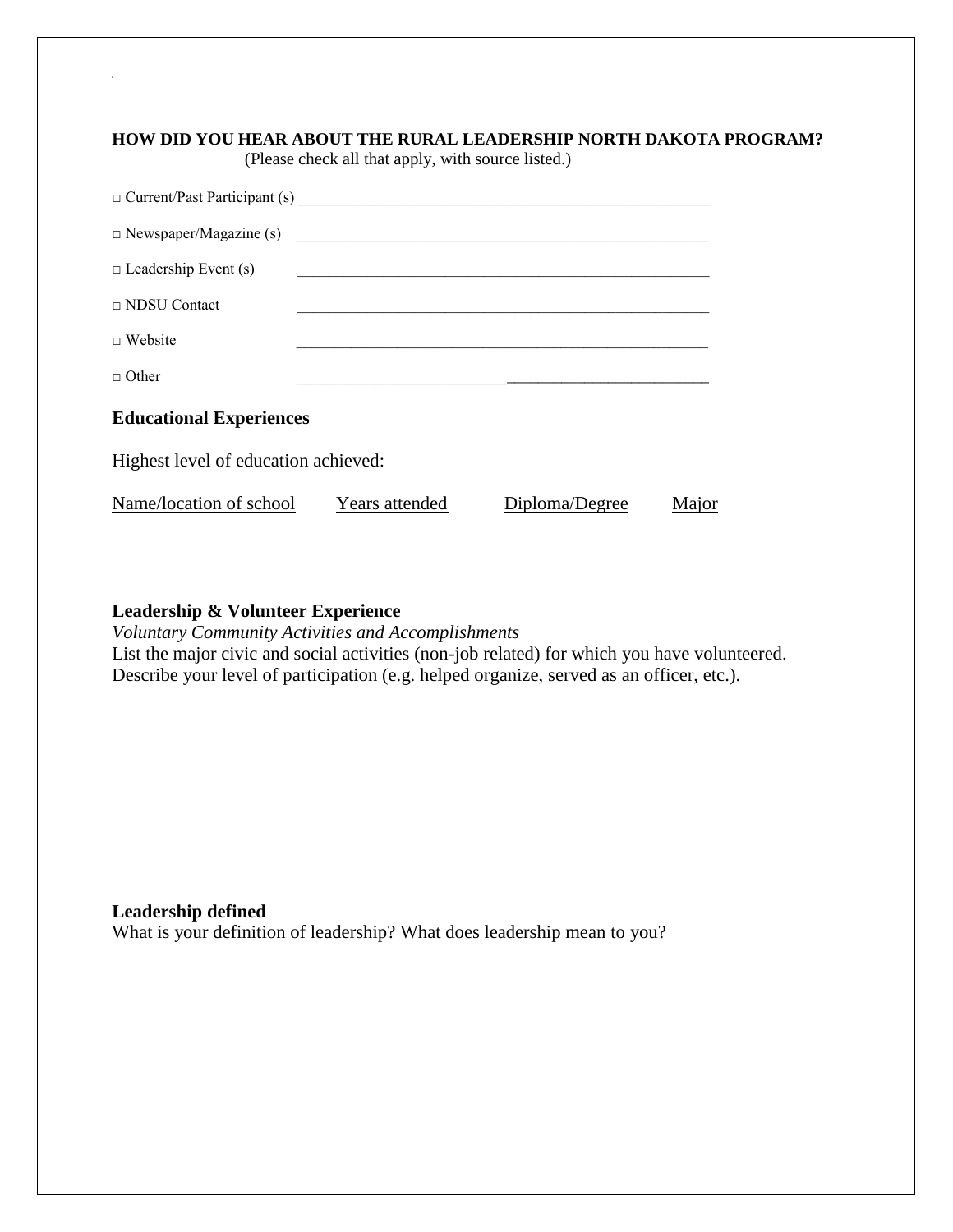#### **HOW DID YOU HEAR ABOUT THE RURAL LEADERSHIP NORTH DAKOTA PROGRAM?**

(Please check all that apply, with source listed.)

| $\Box$ Current/Past Participant (s)  |                |                |       |  |  |  |
|--------------------------------------|----------------|----------------|-------|--|--|--|
| $\Box$ Newspaper/Magazine (s)        |                |                |       |  |  |  |
| $\Box$ Leadership Event (s)          |                |                |       |  |  |  |
| $\Box$ NDSU Contact                  |                |                |       |  |  |  |
| $\Box$ Website                       |                |                |       |  |  |  |
| $\Box$ Other                         |                |                |       |  |  |  |
| <b>Educational Experiences</b>       |                |                |       |  |  |  |
| Highest level of education achieved: |                |                |       |  |  |  |
| Name/location of school              | Years attended | Diploma/Degree | Major |  |  |  |

#### **Leadership & Volunteer Experience**

*Voluntary Community Activities and Accomplishments* List the major civic and social activities (non-job related) for which you have volunteered. Describe your level of participation (e.g. helped organize, served as an officer, etc.).

**Leadership defined** What is your definition of leadership? What does leadership mean to you?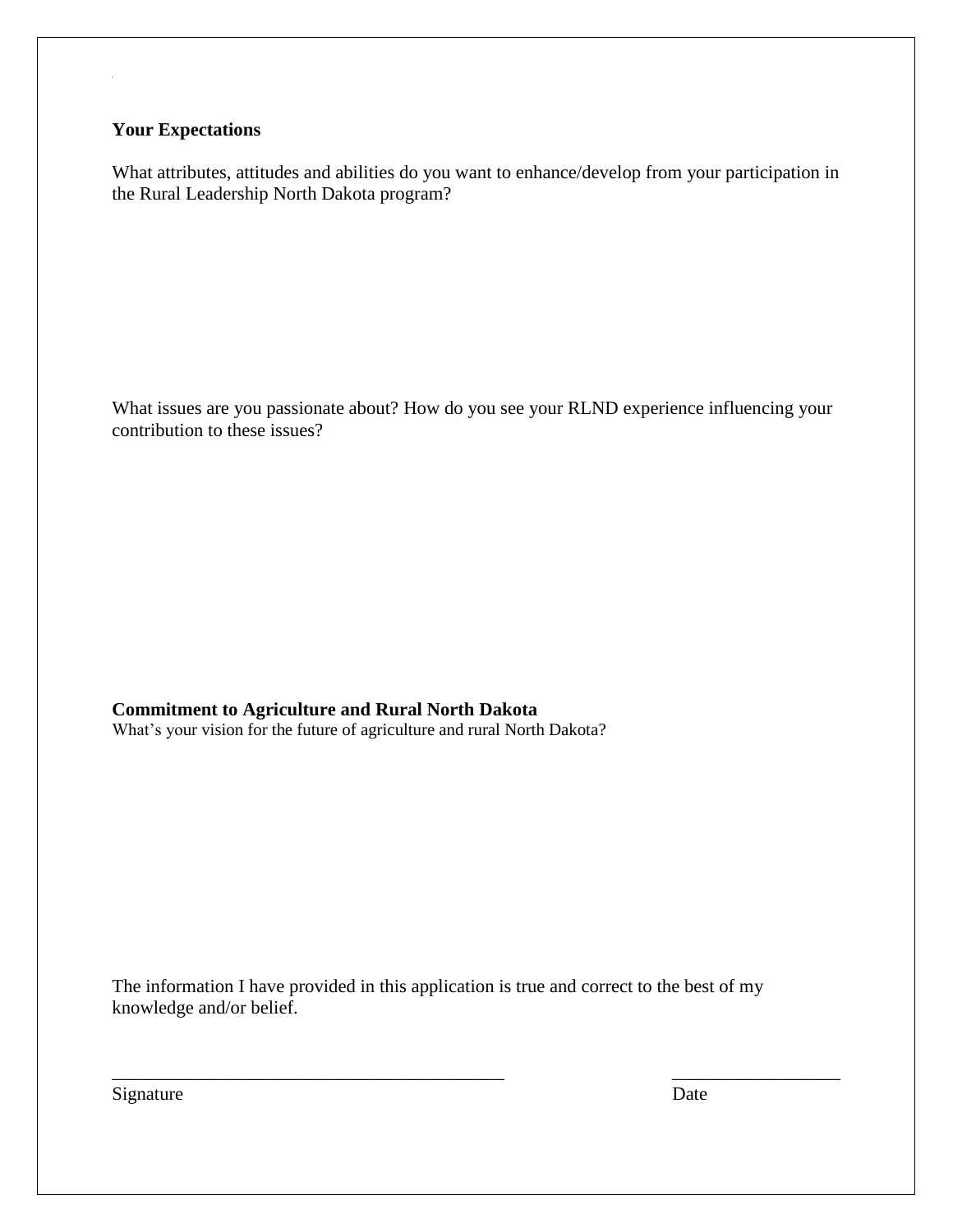#### **Your Expectations**

 the Rural Leadership North Dakota program? What attributes, attitudes and abilities do you want to enhance/develop from your participation in

What issues are you passionate about? How do you see your RLND experience influencing your contribution to these issues?

**Commitment to Agriculture and Rural North Dakota**

What's your vision for the future of agriculture and rural North Dakota?

The information I have provided in this application is true and correct to the best of my knowledge and/or belief.

 $\overline{\phantom{a}}$  , and the contribution of the contribution of the contribution of the contribution of the contribution of the contribution of the contribution of the contribution of the contribution of the contribution of the

Signature Date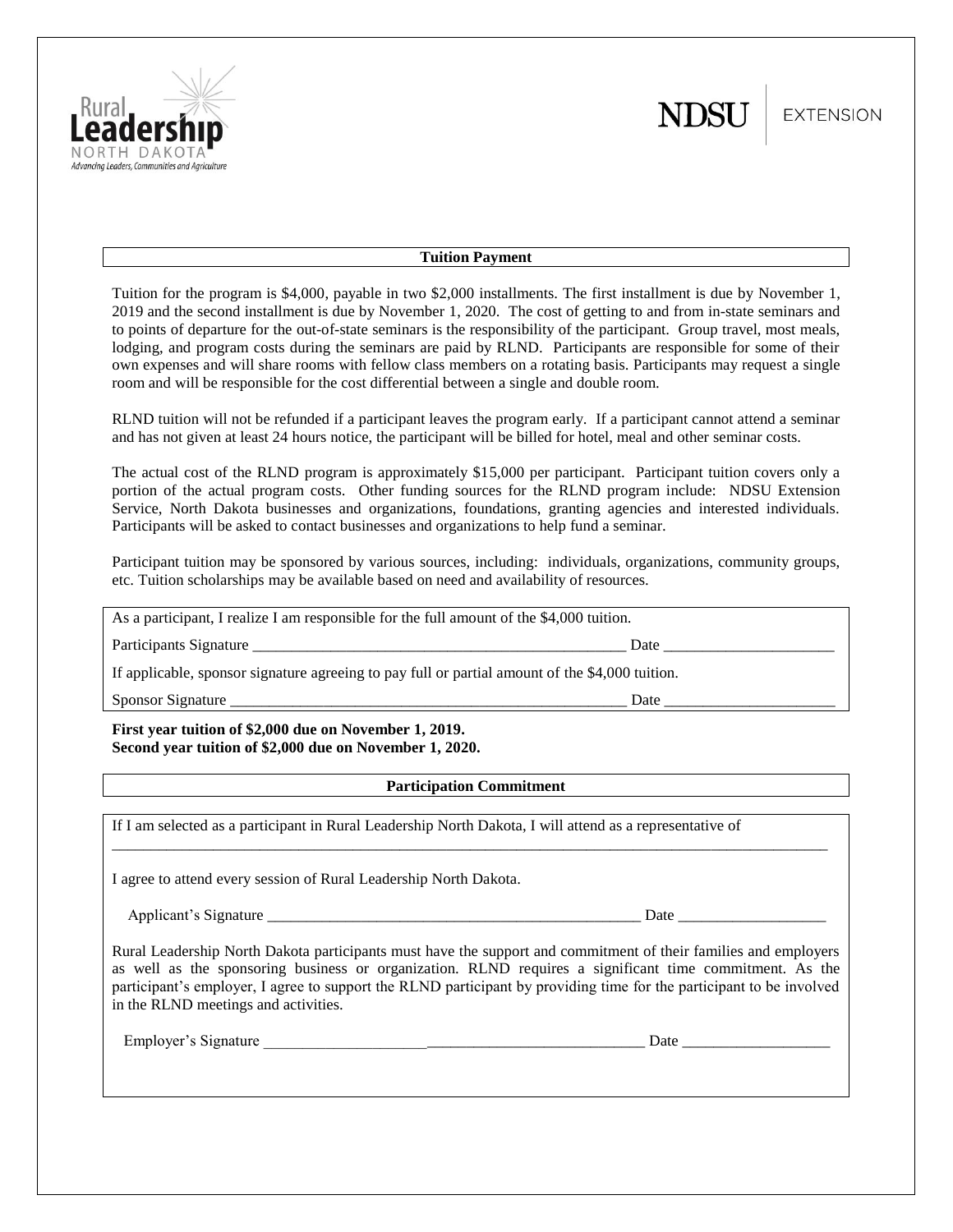

**EXTENSION** 

#### **Tuition Payment**

Tuition for the program is \$4,000, payable in two \$2,000 installments. The first installment is due by November 1, 2019 and the second installment is due by November 1, 2020. The cost of getting to and from in-state seminars and to points of departure for the out-of-state seminars is the responsibility of the participant. Group travel, most meals, lodging, and program costs during the seminars are paid by RLND. Participants are responsible for some of their own expenses and will share rooms with fellow class members on a rotating basis. Participants may request a single room and will be responsible for the cost differential between a single and double room.

RLND tuition will not be refunded if a participant leaves the program early. If a participant cannot attend a seminar and has not given at least 24 hours notice, the participant will be billed for hotel, meal and other seminar costs.

The actual cost of the RLND program is approximately \$15,000 per participant. Participant tuition covers only a portion of the actual program costs. Other funding sources for the RLND program include: NDSU Extension Service, North Dakota businesses and organizations, foundations, granting agencies and interested individuals. Participants will be asked to contact businesses and organizations to help fund a seminar.

Participant tuition may be sponsored by various sources, including: individuals, organizations, community groups, etc. Tuition scholarships may be available based on need and availability of resources.

As a participant, I realize I am responsible for the full amount of the \$4,000 tuition.

Participants Signature \_\_\_\_\_\_\_\_\_\_\_\_\_\_\_\_\_\_\_\_\_\_\_\_\_\_\_\_\_\_\_\_\_\_\_\_\_\_\_\_\_\_\_\_\_\_\_\_ Date \_\_\_\_\_\_\_\_\_\_\_\_\_\_\_\_\_\_\_\_\_\_

If applicable, sponsor signature agreeing to pay full or partial amount of the \$4,000 tuition.

| Sponsor<br>langturc<br>114<br>.11 <sup>2</sup> | Jai |  |
|------------------------------------------------|-----|--|
|                                                |     |  |

**First year tuition of \$2,000 due on November 1, 2019. Second year tuition of \$2,000 due on November 1, 2020.**

#### **Participation Commitment**

 $\overline{a}$  , and the contribution of the contribution of the contribution of the contribution of the contribution of the contribution of the contribution of the contribution of the contribution of the contribution of the co

If I am selected as a participant in Rural Leadership North Dakota, I will attend as a representative of

I agree to attend every session of Rural Leadership North Dakota.

Applicant's Signature \_\_\_\_\_\_\_\_\_\_\_\_\_\_\_\_\_\_\_\_\_\_\_\_\_\_\_\_\_\_\_\_\_\_\_\_\_\_\_\_\_\_\_\_\_\_\_\_ Date \_\_\_\_\_\_\_\_\_\_\_\_\_\_\_\_\_\_\_

Rural Leadership North Dakota participants must have the support and commitment of their families and employers as well as the sponsoring business or organization. RLND requires a significant time commitment. As the participant's employer, I agree to support the RLND participant by providing time for the participant to be involved in the RLND meetings and activities.

Employer's Signature \_\_\_\_\_\_\_\_\_\_\_\_\_\_\_\_\_\_\_\_\_\_\_\_\_\_\_\_\_\_\_\_\_\_\_\_\_\_\_\_\_\_\_\_\_\_\_\_\_ Date \_\_\_\_\_\_\_\_\_\_\_\_\_\_\_\_\_\_\_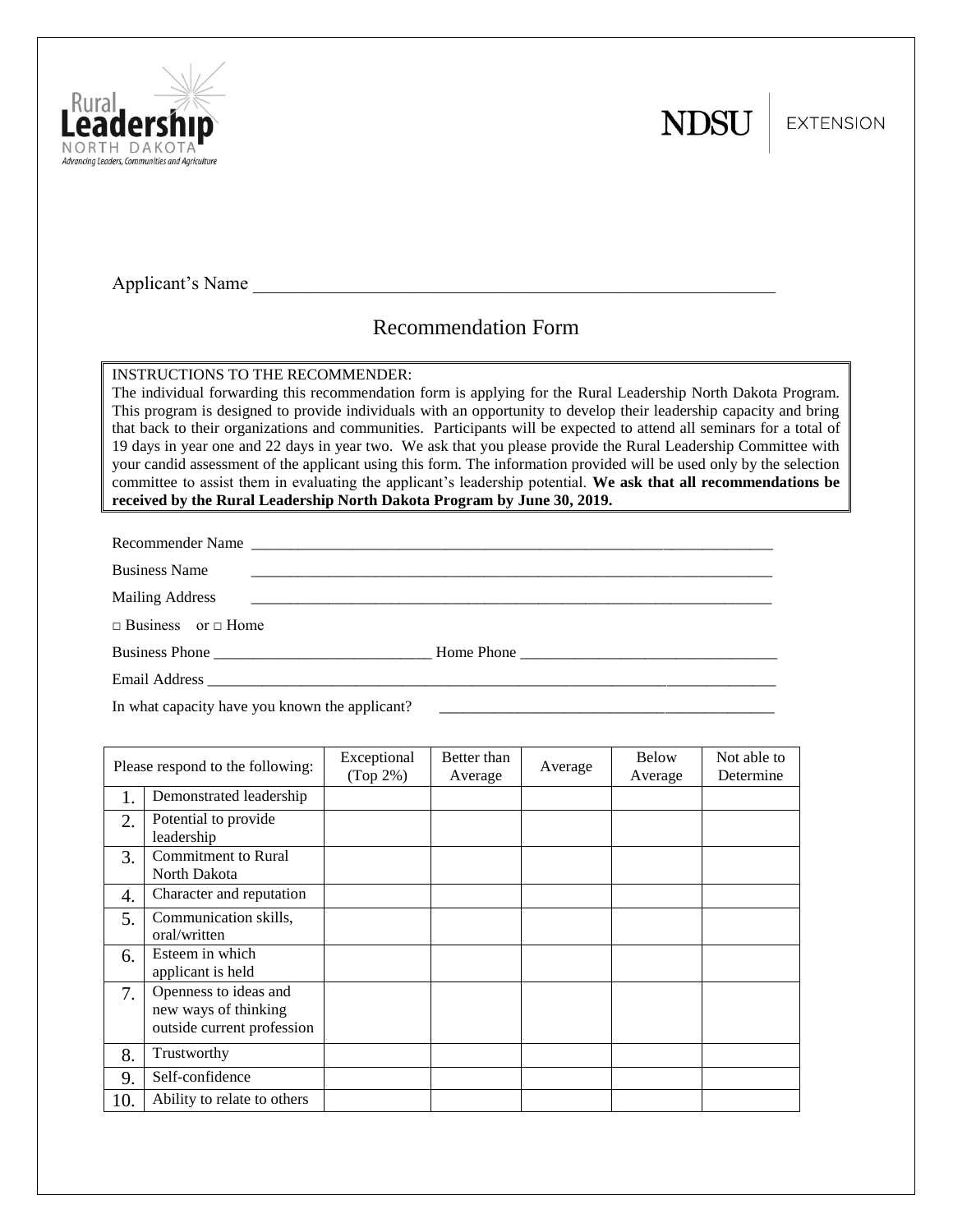



**EXTENSION** 

Applicant's Name

# Recommendation Form

INSTRUCTIONS TO THE RECOMMENDER:

The individual forwarding this recommendation form is applying for the Rural Leadership North Dakota Program. This program is designed to provide individuals with an opportunity to develop their leadership capacity and bring that back to their organizations and communities. Participants will be expected to attend all seminars for a total of 19 days in year one and 22 days in year two. We ask that you please provide the Rural Leadership Committee with your candid assessment of the applicant using this form. The information provided will be used only by the selection committee to assist them in evaluating the applicant's leadership potential. **We ask that all recommendations be received by the Rural Leadership North Dakota Program by June 30, 2019.**

Recommender Name \_\_\_\_\_\_\_\_\_\_\_\_\_\_\_\_\_\_\_\_\_\_\_\_\_\_\_\_\_\_\_\_\_\_\_\_\_\_\_\_\_\_\_\_\_\_\_\_\_\_\_\_\_\_\_\_\_\_\_\_\_\_\_\_\_\_\_

Business Name

Mailing Address \_\_\_\_\_\_\_\_\_\_\_\_\_\_\_\_\_\_\_\_\_\_\_\_\_\_\_\_\_\_\_\_\_\_\_\_\_\_\_\_\_\_\_\_\_\_\_\_\_\_\_\_\_\_\_\_\_\_\_\_\_\_\_\_\_\_\_

□ Business or □ Home

Business Phone \_\_\_\_\_\_\_\_\_\_\_\_\_\_\_\_\_\_\_\_\_\_\_\_\_\_\_\_ Home Phone \_\_\_\_\_\_\_\_\_\_\_\_\_\_\_\_\_\_\_\_\_\_\_\_\_\_\_\_\_\_\_\_\_

Email Address \_\_\_\_\_\_\_\_\_\_\_\_\_\_\_\_\_\_\_\_\_\_\_\_\_\_\_\_\_\_\_\_\_\_\_\_\_\_\_\_\_\_\_\_\_\_\_\_\_\_\_\_\_\_\_\_\_\_\_\_\_\_\_\_\_\_\_\_\_\_\_\_\_

In what capacity have you known the applicant?

| Please respond to the following: |                                                                             | Exceptional<br>$(Top 2\%)$ | Better than<br>Average | Average | <b>Below</b><br>Average | Not able to<br>Determine |
|----------------------------------|-----------------------------------------------------------------------------|----------------------------|------------------------|---------|-------------------------|--------------------------|
| 1.                               | Demonstrated leadership                                                     |                            |                        |         |                         |                          |
| 2.                               | Potential to provide<br>leadership                                          |                            |                        |         |                         |                          |
| 3.                               | <b>Commitment</b> to Rural<br>North Dakota                                  |                            |                        |         |                         |                          |
| 4.                               | Character and reputation                                                    |                            |                        |         |                         |                          |
| 5.                               | Communication skills,<br>oral/written                                       |                            |                        |         |                         |                          |
| 6.                               | Esteem in which<br>applicant is held                                        |                            |                        |         |                         |                          |
| 7.                               | Openness to ideas and<br>new ways of thinking<br>outside current profession |                            |                        |         |                         |                          |
| 8.                               | Trustworthy                                                                 |                            |                        |         |                         |                          |
| 9.                               | Self-confidence                                                             |                            |                        |         |                         |                          |
| 10.                              | Ability to relate to others                                                 |                            |                        |         |                         |                          |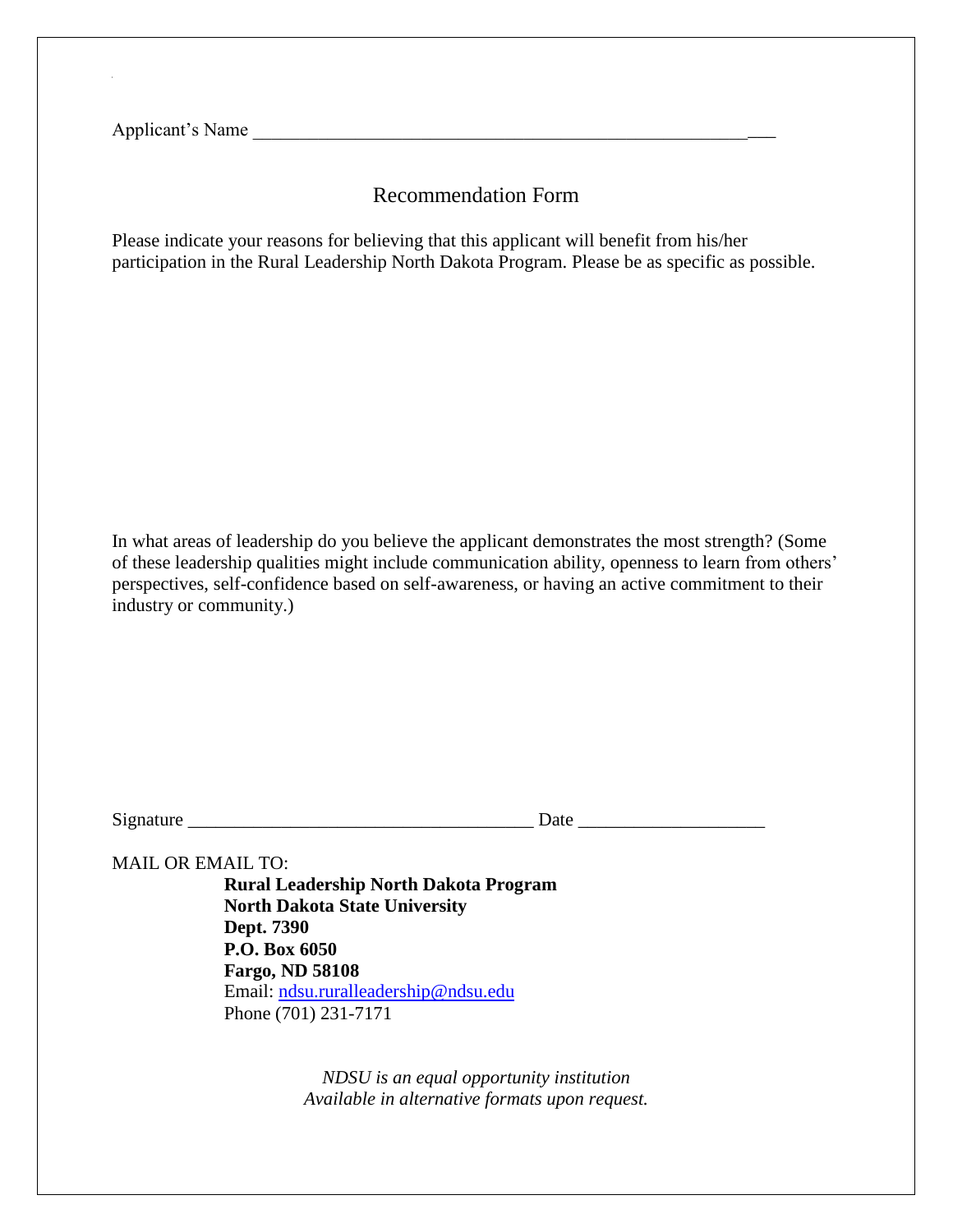Applicant's Name

### Recommendation Form

Please indicate your reasons for believing that this applicant will benefit from his/her participation in the Rural Leadership North Dakota Program. Please be as specific as possible.

In what areas of leadership do you believe the applicant demonstrates the most strength? (Some of these leadership qualities might include communication ability, openness to learn from others' perspectives, self-confidence based on self-awareness, or having an active commitment to their industry or community.)

Signature \_\_\_\_\_\_\_\_\_\_\_\_\_\_\_\_\_\_\_\_\_\_\_\_\_\_\_\_\_\_\_\_\_\_\_\_\_ Date \_\_\_\_\_\_\_\_\_\_\_\_\_\_\_\_\_\_\_\_

MAIL OR EMAIL TO:

**Rural Leadership North Dakota Program North Dakota State University Dept. 7390 P.O. Box 6050 Fargo, ND 58108** Email: [ndsu.ruralleadership@ndsu.edu](mailto:ndsu.ruralleadership@ndsu.edu) Phone (701) 231-7171

> *NDSU is an equal opportunity institution Available in alternative formats upon request.*